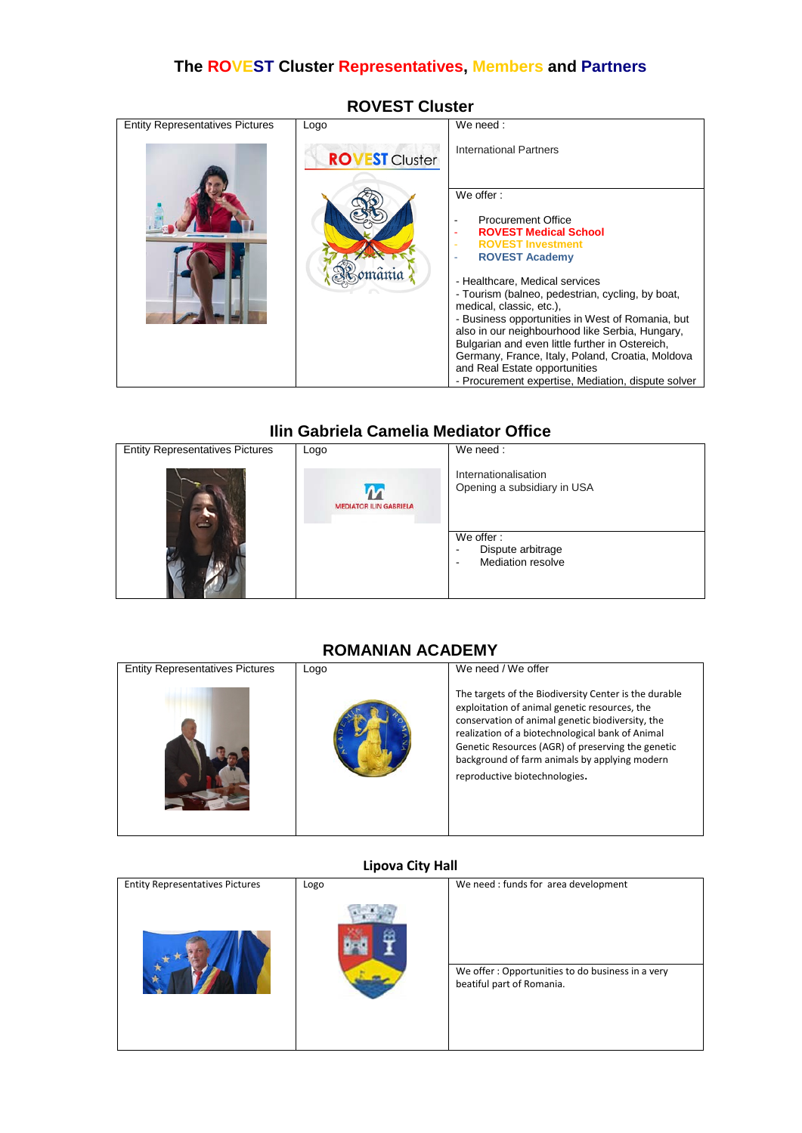# **The ROVEST Cluster Representatives, Members and Partners**

| <b>Entity Representatives Pictures</b> | Logo                  | We need:                                                                                                                                                                                                                                                                                                                      |
|----------------------------------------|-----------------------|-------------------------------------------------------------------------------------------------------------------------------------------------------------------------------------------------------------------------------------------------------------------------------------------------------------------------------|
|                                        | <b>ROVEST Cluster</b> | <b>International Partners</b><br>We offer:<br><b>Procurement Office</b><br>۰<br><b>ROVEST Medical School</b><br><b>ROVEST Investment</b><br><b>ROVEST Academy</b><br>- Healthcare, Medical services<br>- Tourism (balneo, pedestrian, cycling, by boat,                                                                       |
|                                        |                       | medical, classic, etc.),<br>- Business opportunities in West of Romania, but<br>also in our neighbourhood like Serbia, Hungary,<br>Bulgarian and even little further in Ostereich,<br>Germany, France, Italy, Poland, Croatia, Moldova<br>and Real Estate opportunities<br>- Procurement expertise, Mediation, dispute solver |

# **ROVEST Cluster**

# **Ilin Gabriela Camelia Mediator Office**<br> **I** We need :



## **ROMANIAN ACADEMY**

| <b>Entity Representatives Pictures</b> | Logo | We need / We offer                                                                                                                                                                                                                                                                                                                                    |
|----------------------------------------|------|-------------------------------------------------------------------------------------------------------------------------------------------------------------------------------------------------------------------------------------------------------------------------------------------------------------------------------------------------------|
|                                        |      | The targets of the Biodiversity Center is the durable<br>exploitation of animal genetic resources, the<br>conservation of animal genetic biodiversity, the<br>realization of a biotechnological bank of Animal<br>Genetic Resources (AGR) of preserving the genetic<br>background of farm animals by applying modern<br>reproductive biotechnologies. |

## **Lipova City Hall**

| <b>Entity Representatives Pictures</b> | Logo | We need : funds for area development                                          |
|----------------------------------------|------|-------------------------------------------------------------------------------|
|                                        |      |                                                                               |
|                                        |      | We offer: Opportunities to do business in a very<br>beatiful part of Romania. |
|                                        |      |                                                                               |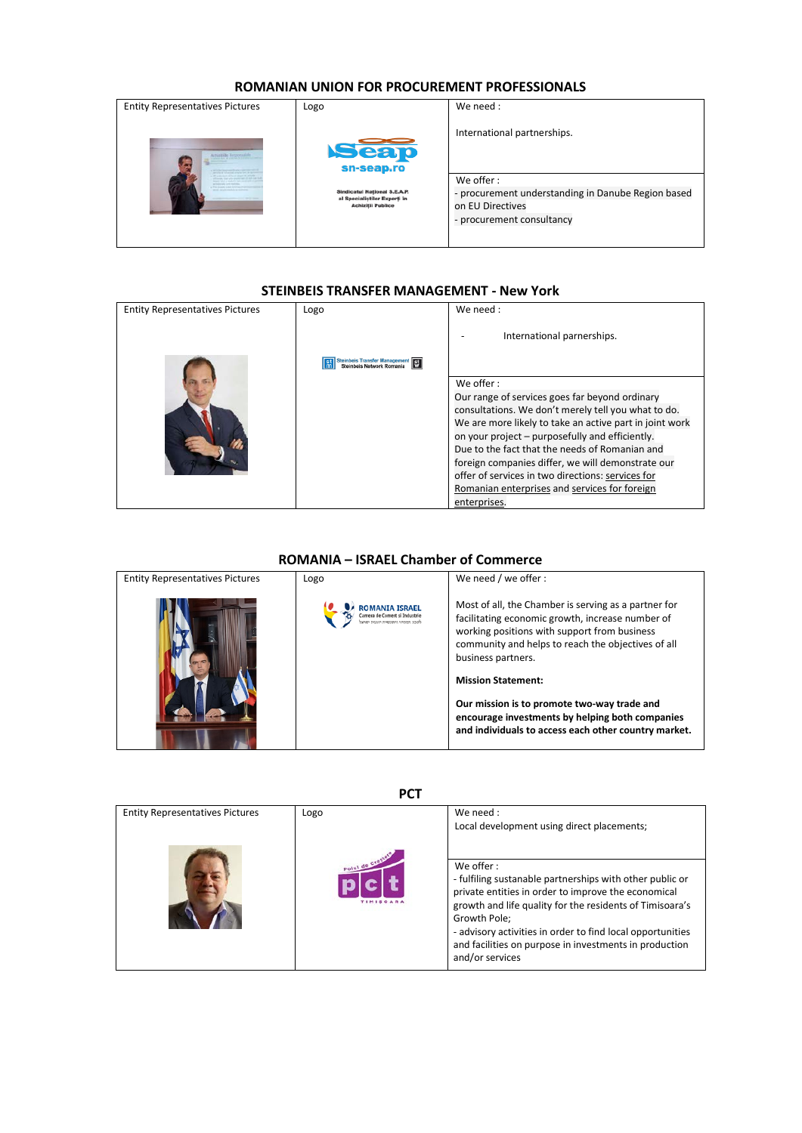#### **ROMANIAN UNION FOR PROCUREMENT PROFESSIONALS**

| <b>Entity Representatives Pictures</b> | Logo                                                                                            | We need:                                                                                                         |
|----------------------------------------|-------------------------------------------------------------------------------------------------|------------------------------------------------------------------------------------------------------------------|
|                                        | <b>Seap</b><br>sn-seap.ro                                                                       | International partnerships.                                                                                      |
|                                        | <b>Sindicatul National S.E.A.P.</b><br>al Specialiștilor Experți în<br><b>Achiziții Publice</b> | We offer:<br>- procurement understanding in Danube Region based<br>on EU Directives<br>- procurement consultancy |

#### **STEINBEIS TRANSFER MANAGEMENT - New York**

| <b>Entity Representatives Pictures</b> | Logo                       | We need:                                                                                                       |
|----------------------------------------|----------------------------|----------------------------------------------------------------------------------------------------------------|
|                                        | inbeis Transfer Management | International parnerships.                                                                                     |
|                                        |                            | We offer:                                                                                                      |
|                                        |                            | Our range of services goes far beyond ordinary                                                                 |
|                                        |                            | consultations. We don't merely tell you what to do.<br>We are more likely to take an active part in joint work |
|                                        |                            | on your project – purposefully and efficiently.                                                                |
|                                        |                            | Due to the fact that the needs of Romanian and                                                                 |
|                                        |                            | foreign companies differ, we will demonstrate our                                                              |
|                                        |                            | offer of services in two directions: services for                                                              |
|                                        |                            | Romanian enterprises and services for foreign                                                                  |
|                                        |                            | enterprises.                                                                                                   |

## **ROMANIA – ISRAEL Chamber of Commerce**

| <b>Entity Representatives Pictures</b> | Logo                  | We need / we offer :                                                                                                     |
|----------------------------------------|-----------------------|--------------------------------------------------------------------------------------------------------------------------|
|                                        | <b>ROMANIA ISRAEL</b> | Most of all, the Chamber is serving as a partner for<br>facilitating economic growth, increase number of                 |
|                                        |                       | working positions with support from business<br>community and helps to reach the objectives of all<br>business partners. |
|                                        |                       | <b>Mission Statement:</b>                                                                                                |
|                                        |                       | Our mission is to promote two-way trade and<br>encourage investments by helping both companies                           |
|                                        |                       | and individuals to access each other country market.                                                                     |

**PCT**

| <b>Entity Representatives Pictures</b> | Logo | We need :<br>Local development using direct placements;                                                                                                                                                                                                                                                                                             |
|----------------------------------------|------|-----------------------------------------------------------------------------------------------------------------------------------------------------------------------------------------------------------------------------------------------------------------------------------------------------------------------------------------------------|
|                                        |      | We offer:<br>- fulfiling sustanable partnerships with other public or<br>private entities in order to improve the economical<br>growth and life quality for the residents of Timisoara's<br>Growth Pole:<br>- advisory activities in order to find local opportunities<br>and facilities on purpose in investments in production<br>and/or services |